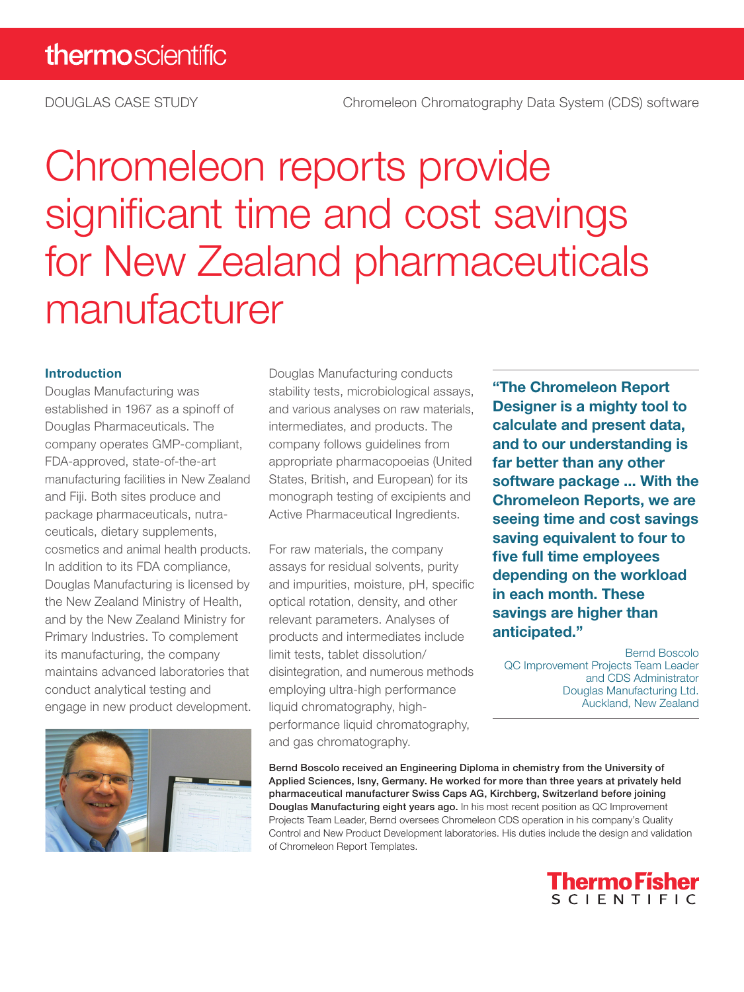# Chromeleon reports provide significant time and cost savings for New Zealand pharmaceuticals manufacturer

#### Introduction

Douglas Manufacturing was established in 1967 as a spinoff of Douglas Pharmaceuticals. The company operates GMP-compliant, FDA-approved, state-of-the-art manufacturing facilities in New Zealand and Fiji. Both sites produce and package pharmaceuticals, nutraceuticals, dietary supplements, cosmetics and animal health products. In addition to its FDA compliance, Douglas Manufacturing is licensed by the New Zealand Ministry of Health, and by the New Zealand Ministry for Primary Industries. To complement its manufacturing, the company maintains advanced laboratories that conduct analytical testing and engage in new product development.



Douglas Manufacturing conducts stability tests, microbiological assays, and various analyses on raw materials, intermediates, and products. The company follows guidelines from appropriate pharmacopoeias (United States, British, and European) for its monograph testing of excipients and Active Pharmaceutical Ingredients.

For raw materials, the company assays for residual solvents, purity and impurities, moisture, pH, specific optical rotation, density, and other relevant parameters. Analyses of products and intermediates include limit tests, tablet dissolution/ disintegration, and numerous methods employing ultra-high performance liquid chromatography, highperformance liquid chromatography, and gas chromatography.

"The Chromeleon Report Designer is a mighty tool to calculate and present data, and to our understanding is far better than any other software package ... With the Chromeleon Reports, we are seeing time and cost savings saving equivalent to four to five full time employees depending on the workload in each month. These savings are higher than anticipated."

Bernd Boscolo QC Improvement Projects Team Leader and CDS Administrator Douglas Manufacturing Ltd. Auckland, New Zealand

Bernd Boscolo received an Engineering Diploma in chemistry from the University of Applied Sciences, Isny, Germany. He worked for more than three years at privately held pharmaceutical manufacturer Swiss Caps AG, Kirchberg, Switzerland before joining Douglas Manufacturing eight years ago. In his most recent position as QC Improvement Projects Team Leader, Bernd oversees Chromeleon CDS operation in his company's Quality Control and New Product Development laboratories. His duties include the design and validation of Chromeleon Report Templates.

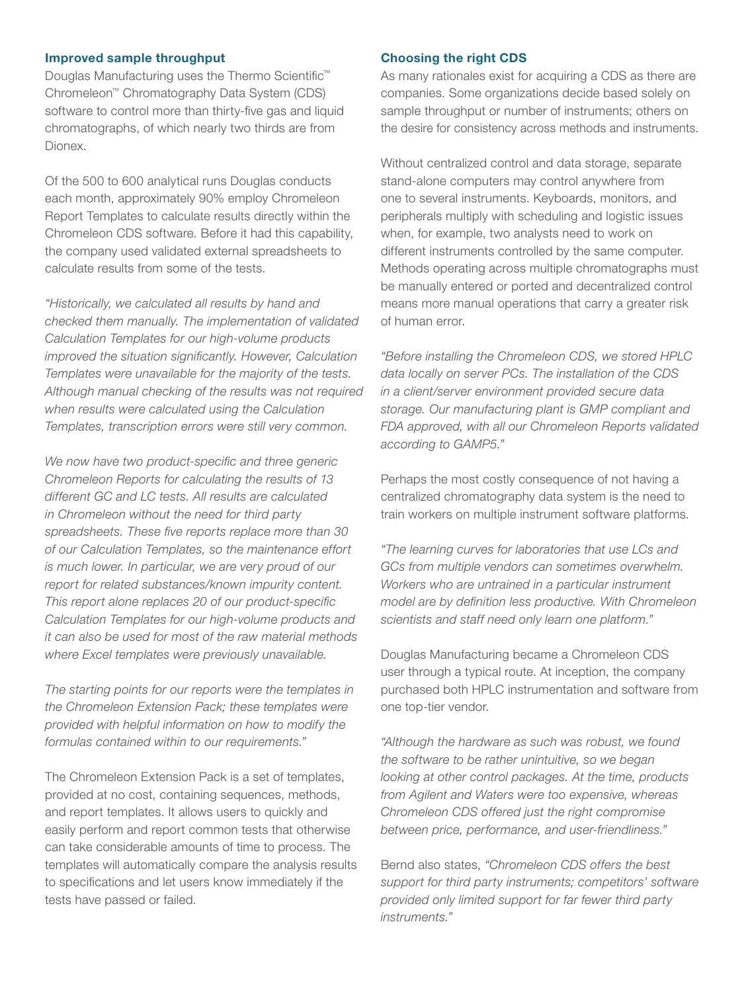#### Improved sample throughput

Douglas Manufacturing uses the Thermo Scientific™ Chromeleon™ Chromatography Data System (CDS) software to control more than thirty-five gas and liquid chromatographs, of which nearly two thirds are from Dionex.

Of the 500 to 600 analytical runs Douglas conducts each month, approximately 90% employ Chromeleon Report Templates to calculate results directly within the Chromeleon CDS software. Before it had this capability, the company used validated external spreadsheets to calculate results from some of the tests.

*"Historically, we calculated all results by hand and checked them manually. The implementation of validated Calculation Templates for our high-volume products improved the situation significantly. However, Calculation Templates were unavailable for the majority of the tests. Although manual checking of the results was not required when results were calculated using the Calculation Templates, transcription errors were still very common.*

*We now have two product-specific and three generic Chromeleon Reports for calculating the results of 13 different GC and LC tests. All results are calculated in Chromeleon without the need for third party spreadsheets. These five reports replace more than 30 of our Calculation Templates, so the maintenance effort is much lower. In particular, we are very proud of our report for related substances/known impurity content. This report alone replaces 20 of our product-specific Calculation Templates for our high-volume products and it can also be used for most of the raw material methods where Excel templates were previously unavailable.*

*The starting points for our reports were the templates in the Chromeleon Extension Pack; these templates were provided with helpful information on how to modify the formulas contained within to our requirements."*

The Chromeleon Extension Pack is a set of templates, provided at no cost, containing sequences, methods, and report templates. It allows users to quickly and easily perform and report common tests that otherwise can take considerable amounts of time to process. The templates will automatically compare the analysis results to specifications and let users know immediately if the tests have passed or failed.

#### Choosing the right CDS

As many rationales exist for acquiring a CDS as there are companies. Some organizations decide based solely on sample throughput or number of instruments; others on the desire for consistency across methods and instruments.

Without centralized control and data storage, separate stand-alone computers may control anywhere from one to several instruments. Keyboards, monitors, and peripherals multiply with scheduling and logistic issues when, for example, two analysts need to work on different instruments controlled by the same computer. Methods operating across multiple chromatographs must be manually entered or ported and decentralized control means more manual operations that carry a greater risk of human error.

*"Before installing the Chromeleon CDS, we stored HPLC data locally on server PCs. The installation of the CDS in a client/server environment provided secure data storage. Our manufacturing plant is GMP compliant and FDA approved, with all our Chromeleon Reports validated according to GAMP5."*

Perhaps the most costly consequence of not having a centralized chromatography data system is the need to train workers on multiple instrument software platforms.

*"The learning curves for laboratories that use LCs and GCs from multiple vendors can sometimes overwhelm. Workers who are untrained in a particular instrument model are by definition less productive. With Chromeleon scientists and staff need only learn one platform."*

Douglas Manufacturing became a Chromeleon CDS user through a typical route. At inception, the company purchased both HPLC instrumentation and software from one top-tier vendor.

*"Although the hardware as such was robust, we found the software to be rather unintuitive, so we began looking at other control packages. At the time, products from Agilent and Waters were too expensive, whereas Chromeleon CDS offered just the right compromise between price, performance, and user-friendliness."*

Bernd also states, *"Chromeleon CDS offers the best support for third party instruments; competitors' software provided only limited support for far fewer third party instruments."*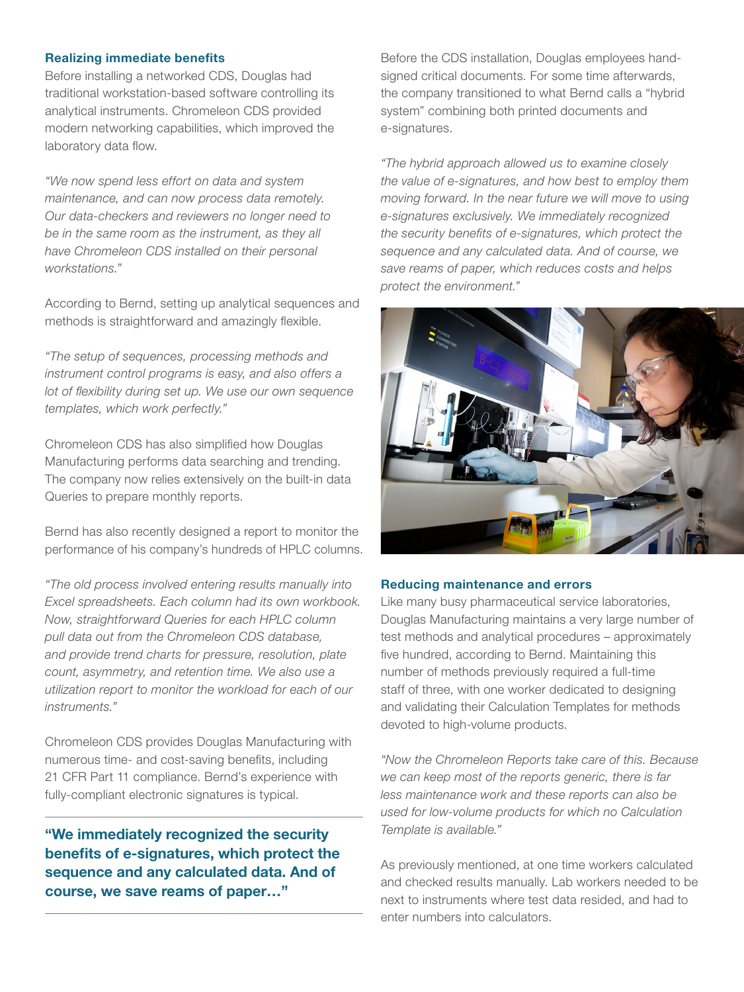#### Realizing immediate benefits

Before installing a networked CDS, Douglas had traditional workstation-based software controlling its analytical instruments. Chromeleon CDS provided modern networking capabilities, which improved the laboratory data flow.

*"We now spend less effort on data and system maintenance, and can now process data remotely. Our data-checkers and reviewers no longer need to be in the same room as the instrument, as they all have Chromeleon CDS installed on their personal workstations."*

According to Bernd, setting up analytical sequences and methods is straightforward and amazingly flexible.

*"The setup of sequences, processing methods and instrument control programs is easy, and also offers a lot of flexibility during set up. We use our own sequence templates, which work perfectly."*

Chromeleon CDS has also simplified how Douglas Manufacturing performs data searching and trending. The company now relies extensively on the built-in data Queries to prepare monthly reports.

Bernd has also recently designed a report to monitor the performance of his company's hundreds of HPLC columns.

*"The old process involved entering results manually into Excel spreadsheets. Each column had its own workbook. Now, straightforward Queries for each HPLC column pull data out from the Chromeleon CDS database, and provide trend charts for pressure, resolution, plate count, asymmetry, and retention time. We also use a utilization report to monitor the workload for each of our instruments."*

Chromeleon CDS provides Douglas Manufacturing with numerous time- and cost-saving benefits, including 21 CFR Part 11 compliance. Bernd's experience with fully-compliant electronic signatures is typical.

"We immediately recognized the security benefits of e-signatures, which protect the sequence and any calculated data. And of course, we save reams of paper…"

Before the CDS installation, Douglas employees handsigned critical documents. For some time afterwards, the company transitioned to what Bernd calls a "hybrid system" combining both printed documents and e-signatures.

*"The hybrid approach allowed us to examine closely the value of e-signatures, and how best to employ them moving forward. In the near future we will move to using e-signatures exclusively. We immediately recognized the security benefits of e-signatures, which protect the sequence and any calculated data. And of course, we save reams of paper, which reduces costs and helps protect the environment."*



#### Reducing maintenance and errors

Like many busy pharmaceutical service laboratories, Douglas Manufacturing maintains a very large number of test methods and analytical procedures – approximately five hundred, according to Bernd. Maintaining this number of methods previously required a full-time staff of three, with one worker dedicated to designing and validating their Calculation Templates for methods devoted to high-volume products.

*"Now the Chromeleon Reports take care of this. Because we can keep most of the reports generic, there is far less maintenance work and these reports can also be used for low-volume products for which no Calculation Template is available."*

As previously mentioned, at one time workers calculated and checked results manually. Lab workers needed to be next to instruments where test data resided, and had to enter numbers into calculators.